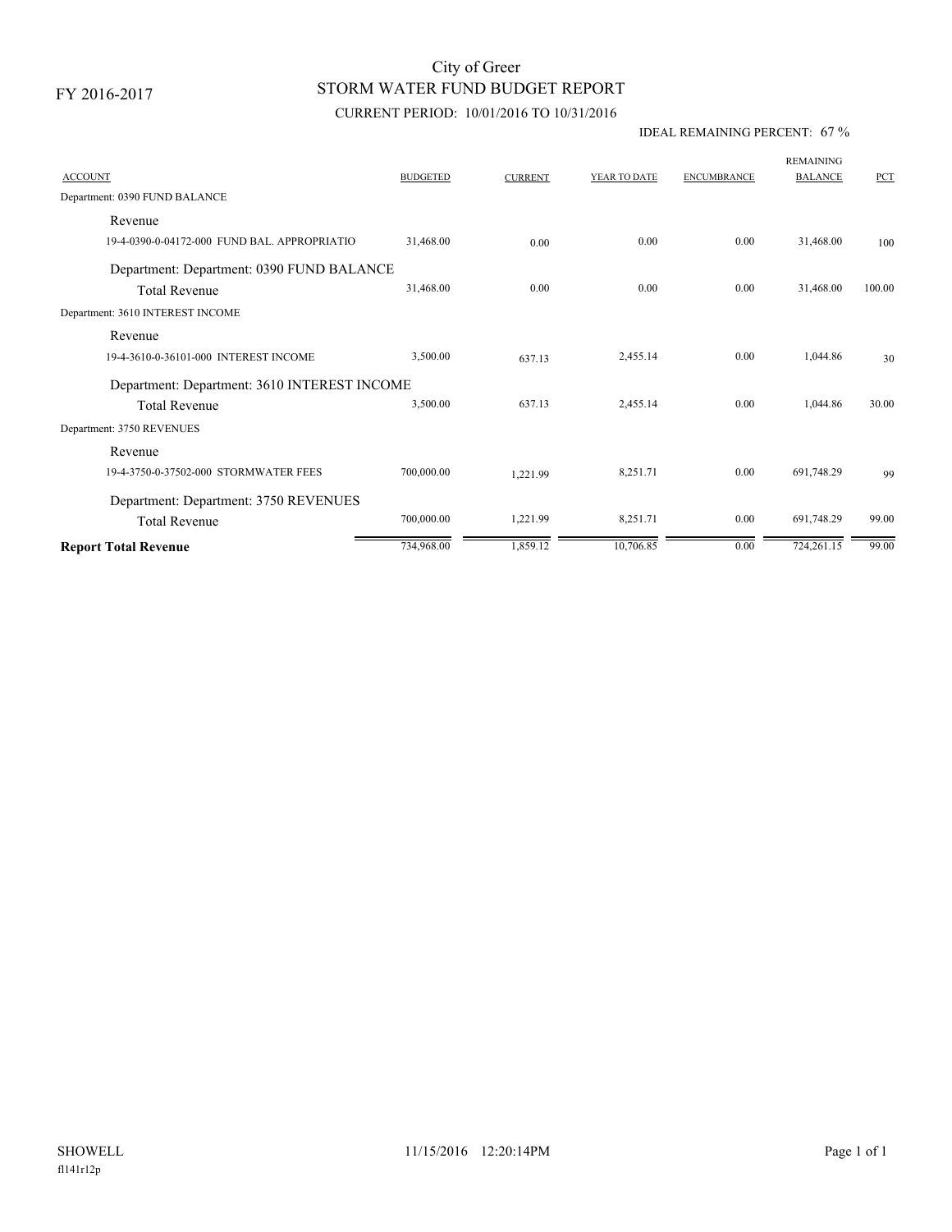FY 2016-2017

# CURRENT PERIOD: 10/01/2016 TO 10/31/2016 STORM WATER FUND BUDGET REPORT City of Greer

### IDEAL REMAINING PERCENT: 67 %

| <b>ACCOUNT</b>                               | <b>BUDGETED</b> | <b>CURRENT</b> | YEAR TO DATE | <b>ENCUMBRANCE</b> | <b>REMAINING</b><br><b>BALANCE</b> | <b>PCT</b> |
|----------------------------------------------|-----------------|----------------|--------------|--------------------|------------------------------------|------------|
| Department: 0390 FUND BALANCE                |                 |                |              |                    |                                    |            |
| Revenue                                      |                 |                |              |                    |                                    |            |
| 19-4-0390-0-04172-000 FUND BAL, APPROPRIATIO | 31,468.00       | 0.00           | 0.00         | 0.00               | 31,468.00                          | 100        |
| Department: Department: 0390 FUND BALANCE    |                 |                |              |                    |                                    |            |
| <b>Total Revenue</b>                         | 31,468.00       | 0.00           | 0.00         | 0.00               | 31,468.00                          | 100.00     |
| Department: 3610 INTEREST INCOME             |                 |                |              |                    |                                    |            |
| Revenue                                      |                 |                |              |                    |                                    |            |
| 19-4-3610-0-36101-000 INTEREST INCOME        | 3,500.00        | 637.13         | 2,455.14     | 0.00               | 1.044.86                           | 30         |
| Department: Department: 3610 INTEREST INCOME |                 |                |              |                    |                                    |            |
| <b>Total Revenue</b>                         | 3,500.00        | 637.13         | 2,455.14     | 0.00               | 1,044.86                           | 30.00      |
| Department: 3750 REVENUES                    |                 |                |              |                    |                                    |            |
| Revenue                                      |                 |                |              |                    |                                    |            |
| 19-4-3750-0-37502-000 STORMWATER FEES        | 700,000.00      | 1,221.99       | 8,251.71     | 0.00               | 691,748.29                         | 99         |
| Department: Department: 3750 REVENUES        |                 |                |              |                    |                                    |            |
| <b>Total Revenue</b>                         | 700,000.00      | 1,221.99       | 8,251.71     | 0.00               | 691,748.29                         | 99.00      |
| <b>Report Total Revenue</b>                  | 734,968.00      | 1,859.12       | 10,706.85    | 0.00               | 724,261.15                         | 99.00      |